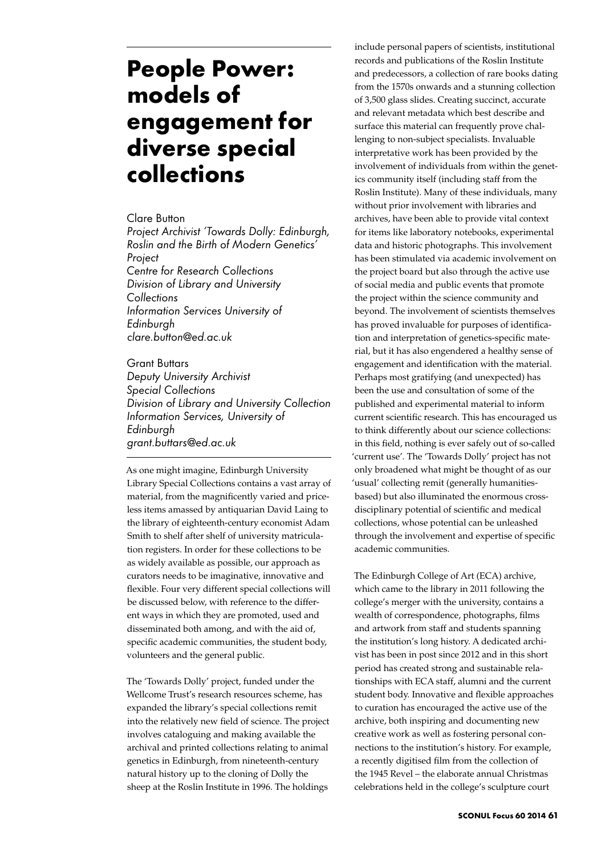## **People Power: models of engagement for diverse special collections**

Clare Button

*Project Archivist 'Towards Dolly: Edinburgh, Roslin and the Birth of Modern Genetics' Project Centre for Research Collections Division of Library and University Collections*

*Information Services University of Edinburgh clare.button@ed.ac.uk*

Grant Buttars *Deputy University Archivist Special Collections Division of Library and University Collection Information Services, University of Edinburgh grant.buttars@ed.ac.uk*

As one might imagine, Edinburgh University Library Special Collections contains a vast array of material, from the magnificently varied and priceless items amassed by antiquarian David Laing to the library of eighteenth-century economist Adam Smith to shelf after shelf of university matriculation registers. In order for these collections to be as widely available as possible, our approach as curators needs to be imaginative, innovative and flexible. Four very different special collections will be discussed below, with reference to the different ways in which they are promoted, used and disseminated both among, and with the aid of, specific academic communities, the student body, volunteers and the general public.

The 'Towards Dolly' project, funded under the Wellcome Trust's research resources scheme, has expanded the library's special collections remit into the relatively new field of science. The project involves cataloguing and making available the archival and printed collections relating to animal genetics in Edinburgh, from nineteenth-century natural history up to the cloning of Dolly the sheep at the Roslin Institute in 1996. The holdings

include personal papers of scientists, institutional records and publications of the Roslin Institute and predecessors, a collection of rare books dating from the 1570s onwards and a stunning collection of 3,500 glass slides. Creating succinct, accurate and relevant metadata which best describe and surface this material can frequently prove challenging to non-subject specialists. Invaluable interpretative work has been provided by the involvement of individuals from within the genetics community itself (including staff from the Roslin Institute). Many of these individuals, many without prior involvement with libraries and archives, have been able to provide vital context for items like laboratory notebooks, experimental data and historic photographs. This involvement has been stimulated via academic involvement on the project board but also through the active use of social media and public events that promote the project within the science community and beyond. The involvement of scientists themselves has proved invaluable for purposes of identification and interpretation of genetics-specific material, but it has also engendered a healthy sense of engagement and identification with the material. Perhaps most gratifying (and unexpected) has been the use and consultation of some of the published and experimental material to inform current scientific research. This has encouraged us to think differently about our science collections: in this field, nothing is ever safely out of so-called 'current use'. The 'Towards Dolly' project has not only broadened what might be thought of as our 'usual' collecting remit (generally humanitiesbased) but also illuminated the enormous crossdisciplinary potential of scientific and medical collections, whose potential can be unleashed through the involvement and expertise of specific academic communities.

The Edinburgh College of Art (ECA) archive, which came to the library in 2011 following the college's merger with the university, contains a wealth of correspondence, photographs, films and artwork from staff and students spanning the institution's long history. A dedicated archivist has been in post since 2012 and in this short period has created strong and sustainable relationships with ECA staff, alumni and the current student body. Innovative and flexible approaches to curation has encouraged the active use of the archive, both inspiring and documenting new creative work as well as fostering personal connections to the institution's history. For example, a recently digitised film from the collection of the 1945 Revel – the elaborate annual Christmas celebrations held in the college's sculpture court